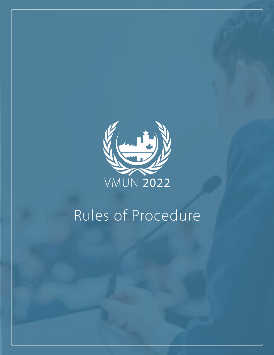

# Rules of Procedure

**VMUN 2022 RULES OF PROCEDURE GUIDE 1**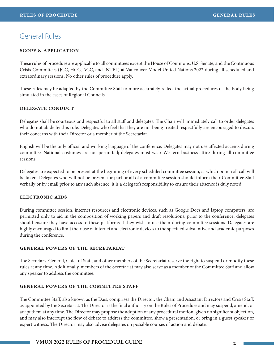# General Rules

## **scope & application**

These rules of procedure are applicable to all committees except the House of Commons, U.S. Senate, and the Continuous Crisis Committees (JCC, HCC, ACC, and INTEL) at Vancouver Model United Nations 2022 during all scheduled and extraordinary sessions. No other rules of procedure apply.

These rules may be adapted by the Committee Staff to more accurately reflect the actual procedures of the body being simulated in the cases of Regional Councils.

## **delegate conduct**

Delegates shall be courteous and respectful to all staff and delegates. The Chair will immediately call to order delegates who do not abide by this rule. Delegates who feel that they are not being treated respectfully are encouraged to discuss their concerns with their Director or a member of the Secretariat.

English will be the only official and working language of the conference. Delegates may not use affected accents during committee. National costumes are not permitted; delegates must wear Western business attire during all committee sessions.

Delegates are expected to be present at the beginning of every scheduled committee session, at which point roll call will be taken. Delegates who will not be present for part or all of a committee session should inform their Committee Staff verbally or by email prior to any such absence; it is a delegate's responsibility to ensure their absence is duly noted.

#### **electronic aids**

During committee session, internet resources and electronic devices, such as Google Docs and laptop computers, are permitted only to aid in the composition of working papers and draft resolutions; prior to the conference, delegates should ensure they have access to these platforms if they wish to use them during committee sessions. Delegates are highly encouraged to limit their use of internet and electronic devices to the specified substantive and academic purposes during the conference.

#### **general powers of the secretariat**

The Secretary-General, Chief of Staff, and other members of the Secretariat reserve the right to suspend or modify these rules at any time. Additionally, members of the Secretariat may also serve as a member of the Committee Staff and allow any speaker to address the committee.

# **GENERAL POWERS OF THE COMMITTEE STAFF**

The Committee Staff, also known as the Dais, comprises the Director, the Chair, and Assistant Directors and Crisis Staff, as appointed by the Secretariat. The Director is the final authority on the Rules of Procedure and may suspend, amend, or adapt them at any time. The Director may propose the adoption of any procedural motion, given no significant objection, and may also interrupt the flow of debate to address the committee, show a presentation, or bring in a guest speaker or expert witness. The Director may also advise delegates on possible courses of action and debate.

# **VMUN 2022 RULES OF PROCEDURE GUIDE 2**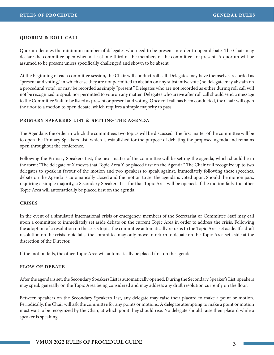#### **quorum & roll call**

Quorum denotes the minimum number of delegates who need to be present in order to open debate. The Chair may declare the committee open when at least one-third of the members of the committee are present. A quorum will be assumed to be present unless specifically challenged and shown to be absent.

At the beginning of each committee session, the Chair will conduct roll call. Delegates may have themselves recorded as "present and voting," in which case they are not permitted to abstain on any substantive vote (no delegate may abstain on a procedural vote), or may be recorded as simply "present." Delegates who are not recorded as either during roll call will not be recognized to speak nor permitted to vote on any matter. Delegates who arrive after roll call should send a message to the Committee Staff to be listed as present or present and voting. Once roll call has been conducted, the Chair will open the floor to a motion to open debate, which requires a simple majority to pass.

#### **primary speakers list & setting the agenda**

The Agenda is the order in which the committee's two topics will be discussed. The first matter of the committee will be to open the Primary Speakers List, which is established for the purpose of debating the proposed agenda and remains open throughout the conference.

Following the Primary Speakers List, the next matter of the committee will be setting the agenda, which should be in the form: "The delegate of X moves that Topic Area Y be placed first on the Agenda." The Chair will recognize up to two delegates to speak in favour of the motion and two speakers to speak against. Immediately following these speeches, debate on the Agenda is automatically closed and the motion to set the agenda is voted upon. Should the motion pass, requiring a simple majority, a Secondary Speakers List for that Topic Area will be opened. If the motion fails, the other Topic Area will automatically be placed first on the agenda.

#### **crises**

In the event of a simulated international crisis or emergency, members of the Secretariat or Committee Staff may call upon a committee to immediately set aside debate on the current Topic Area in order to address the crisis. Following the adoption of a resolution on the crisis topic, the committee automatically returns to the Topic Area set aside. If a draft resolution on the crisis topic fails, the committee may only move to return to debate on the Topic Area set aside at the discretion of the Director.

If the motion fails, the other Topic Area will automatically be placed first on the agenda.

#### **flow of debate**

After the agenda is set, the Secondary Speakers List is automatically opened. During the Secondary Speaker's List, speakers may speak generally on the Topic Area being considered and may address any draft resolution currently on the floor.

Between speakers on the Secondary Speaker's List, any delegate may raise their placard to make a point or motion. Periodically, the Chair will ask the committee for any points or motions. A delegate attempting to make a point or motion must wait to be recognized by the Chair, at which point they should rise. No delegate should raise their placard while a speaker is speaking.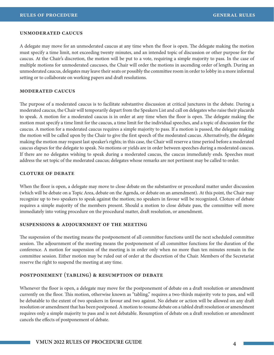#### **unmoderated caucus**

A delegate may move for an unmoderated caucus at any time when the floor is open. The delegate making the motion must specify a time limit, not exceeding twenty minutes, and an intended topic of discussion or other purpose for the caucus. At the Chair's discretion, the motion will be put to a vote, requiring a simple majority to pass. In the case of multiple motions for unmoderated caucuses, the Chair will order the motions in ascending order of length. During an unmoderated caucus, delegates may leave their seats or possibly the committee room in order to lobby in a more informal setting or to collaborate on working papers and draft resolutions.

#### **moderated caucus**

The purpose of a moderated caucus is to facilitate substantive discussion at critical junctures in the debate. During a moderated caucus, the Chair will temporarily depart from the Speakers List and call on delegates who raise their placards to speak. A motion for a moderated caucus is in order at any time when the floor is open. The delegate making the motion must specify a time limit for the caucus, a time limit for the individual speeches, and a topic of discussion for the caucus. A motion for a moderated caucus requires a simple majority to pass. If a motion is passed, the delegate making the motion will be called upon by the Chair to give the first speech of the moderated caucus. Alternatively, the delegate making the motion may request last speaker's rights; in this case, the Chair will reserve a time period before a moderated caucus elapses for the delegate to speak. No motions or yields are in order between speeches during a moderated caucus. If there are no delegates wishing to speak during a moderated caucus, the caucus immediately ends. Speeches must address the set topic of the moderated caucus; delegates whose remarks are not pertinent may be called to order.

#### **cloture of debate**

When the floor is open, a delegate may move to close debate on the substantive or procedural matter under discussion (which will be debate on a Topic Area, debate on the Agenda, or debate on an amendment). At this point, the Chair may recognize up to two speakers to speak against the motion; no speakers in favour will be recognized. Cloture of debate requires a simple majority of the members present. Should a motion to close debate pass, the committee will move immediately into voting procedure on the procedural matter, draft resolution, or amendment.

#### **suspensions & adjournment of the meeting**

The suspension of the meeting means the postponement of all committee functions until the next scheduled committee session. The adjournment of the meeting means the postponement of all committee functions for the duration of the conference. A motion for suspension of the meeting is in order only when no more than ten minutes remain in the committee session. Either motion may be ruled out of order at the discretion of the Chair. Members of the Secretariat reserve the right to suspend the meeting at any time.

#### **postponement (tabling) & resumption of debate**

Whenever the floor is open, a delegate may move for the postponement of debate on a draft resolution or amendment currently on the floor. This motion, otherwise known as "tabling," requires a two-thirds majority vote to pass, and will be debatable to the extent of two speakers in favour and two against. No debate or action will be allowed on any draft resolution or amendment that has been postponed. A motion to resume debate on a tabled draft resolution or amendment requires only a simple majority to pass and is not debatable. Resumption of debate on a draft resolution or amendment cancels the effects of postponement of debate.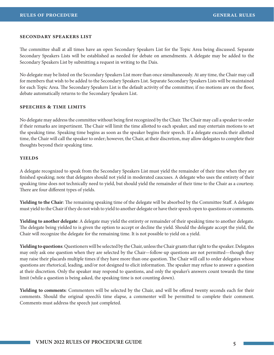#### **secondary speakers list**

The committee shall at all times have an open Secondary Speakers List for the Topic Area being discussed. Separate Secondary Speakers Lists will be established as needed for debate on amendments. A delegate may be added to the Secondary Speakers List by submitting a request in writing to the Dais.

No delegate may be listed on the Secondary Speakers List more than once simultaneously. At any time, the Chair may call for members that wish to be added to the Secondary Speakers List. Separate Secondary Speakers Lists will be maintained for each Topic Area. The Secondary Speakers List is the default activity of the committee; if no motions are on the floor, debate automatically returns to the Secondary Speakers List.

## **speeches & time limits**

No delegate may address the committee without being first recognized by the Chair. The Chair may call a speaker to order if their remarks are impertinent. The Chair will limit the time allotted to each speaker, and may entertain motions to set the speaking time. Speaking time begins as soon as the speaker begins their speech. If a delegate exceeds their allotted time, the Chair will call the speaker to order; however, the Chair, at their discretion, may allow delegates to complete their thoughts beyond their speaking time.

#### **yields**

A delegate recognized to speak from the Secondary Speakers List must yield the remainder of their time when they are finished speaking; note that delegates should not yield in moderated caucuses. A delegate who uses the entirety of their speaking time does not technically need to yield, but should yield the remainder of their time to the Chair as a courtesy. There are four different types of yields.

**Yielding to the Chair**: The remaining speaking time of the delegate will be absorbed by the Committee Staff. A delegate must yield to the Chair if they do not wish to yield to another delegate or have their speech open to questions or comments.

**Yielding to another delegate**: A delegate may yield the entirety or remainder of their speaking time to another delegate. The delegate being yielded to is given the option to accept or decline the yield. Should the delegate accept the yield, the Chair will recognize the delegate for the remaining time. It is not possible to yield on a yield.

**Yielding to questions**: Questioners will be selected by the Chair, unless the Chair grants that right to the speaker. Delegates may only ask one question when they are selected by the Chair—follow-up questions are not permitted—though they may raise their placards multiple times if they have more than one question. The Chair will call to order delegates whose questions are rhetorical, leading, and/or not designed to elicit information. The speaker may refuse to answer a question at their discretion. Only the speaker may respond to questions, and only the speaker's answers count towards the time limit (while a question is being asked, the speaking time is not counting down).

**Yielding to comments**: Commenters will be selected by the Chair, and will be offered twenty seconds each for their comments. Should the original speech's time elapse, a commenter will be permitted to complete their comment. Comments must address the speech just completed.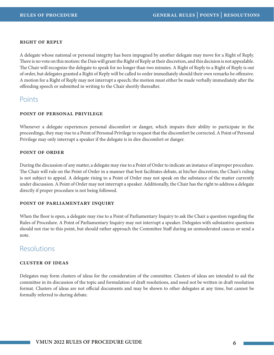## **right of reply**

A delegate whose national or personal integrity has been impugned by another delegate may move for a Right of Reply. There is no vote on this motion: the Dais will grant the Right of Reply at their discretion, and this decision is not appealable. The Chair will recognize the delegate to speak for no longer than two minutes. A Right of Reply to a Right of Reply is out of order, but delegates granted a Right of Reply will be called to order immediately should their own remarks be offensive. A motion for a Right of Reply may not interrupt a speech; the motion must either be made verbally immediately after the offending speech or submitted in writing to the Chair shortly thereafter.

# Points

#### **point of personal privilege**

Whenever a delegate experiences personal discomfort or danger, which impairs their ability to participate in the proceedings, they may rise to a Point of Personal Privilege to request that the discomfort be corrected. A Point of Personal Privilege may only interrupt a speaker if the delegate is in dire discomfort or danger.

## **point of order**

During the discussion of any matter, a delegate may rise to a Point of Order to indicate an instance of improper procedure. The Chair will rule on the Point of Order in a manner that best facilitates debate, at his/her discretion; the Chair's ruling is not subject to appeal. A delegate rising to a Point of Order may not speak on the substance of the matter currently under discussion. A Point of Order may not interrupt a speaker. Additionally, the Chair has the right to address a delegate directly if proper procedure is not being followed.

#### **point of parliamentary inquiry**

When the floor is open, a delegate may rise to a Point of Parliamentary Inquiry to ask the Chair a question regarding the Rules of Procedure. A Point of Parliamentary Inquiry may not interrupt a speaker. Delegates with substantive questions should not rise to this point, but should rather approach the Committee Staff during an unmoderated caucus or send a note.

# Resolutions

#### **cluster of ideas**

Delegates may form clusters of ideas for the consideration of the committee. Clusters of ideas are intended to aid the committee in its discussion of the topic and formulation of draft resolutions, and need not be written in draft resolution format. Clusters of ideas are not official documents and may be shown to other delegates at any time, but cannot be formally referred to during debate.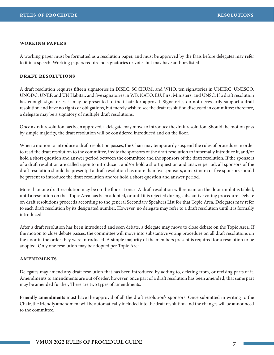#### **working papers**

A working paper must be formatted as a resolution paper, and must be approved by the Dais before delegates may refer to it in a speech. Working papers require no signatories or votes but may have authors listed.

#### **draft resolutions**

A draft resolution requires fifteen signatories in DISEC, SOCHUM, and WHO, ten signatories in UNHRC, UNESCO, UNODC, UNEP, and UN Habitat, and five signatories in WB, NATO, EU, First Ministers, and UNSC. If a draft resolution has enough signatories, it may be presented to the Chair for approval. Signatories do not necessarily support a draft resolution and have no rights or obligations, but merely wish to see the draft resolution discussed in committee; therefore, a delegate may be a signatory of multiple draft resolutions.

Once a draft resolution has been approved, a delegate may move to introduce the draft resolution. Should the motion pass by simple majority, the draft resolution will be considered introduced and on the floor.

When a motion to introduce a draft resolution passes, the Chair may temporarily suspend the rules of procedure in order to read the draft resolution to the committee, invite the sponsors of the draft resolution to informally introduce it, and/or hold a short question and answer period between the committee and the sponsors of the draft resolution. If the sponsors of a draft resolution are called upon to introduce it and/or hold a short question and answer period, all sponsors of the draft resolution should be present; if a draft resolution has more than five sponsors, a maximum of five sponsors should be present to introduce the draft resolution and/or hold a short question and answer period.

More than one draft resolution may be on the floor at once. A draft resolution will remain on the floor until it is tabled, until a resolution on that Topic Area has been adopted, or until it is rejected during substantive voting procedure. Debate on draft resolutions proceeds according to the general Secondary Speakers List for that Topic Area. Delegates may refer to each draft resolution by its designated number. However, no delegate may refer to a draft resolution until it is formally introduced.

After a draft resolution has been introduced and seen debate, a delegate may move to close debate on the Topic Area. If the motion to close debate passes, the committee will move into substantive voting procedure on all draft resolutions on the floor in the order they were introduced. A simple majority of the members present is required for a resolution to be adopted. Only one resolution may be adopted per Topic Area.

#### **amendments**

Delegates may amend any draft resolution that has been introduced by adding to, deleting from, or revising parts of it. Amendments to amendments are out of order; however, once part of a draft resolution has been amended, that same part may be amended further, There are two types of amendments.

**Friendly amendments** must have the approval of all the draft resolution's sponsors. Once submitted in writing to the Chair, the friendly amendment will be automatically included into the draft resolution and the changes will be announced to the committee.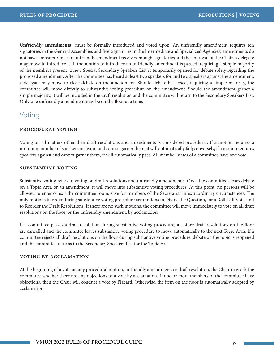**Unfriendly amendments** must be formally introduced and voted upon. An unfriendly amendment requires ten signatories in the General Assemblies and five signatories in the Intermediate and Specialized Agencies; amendments do not have sponsors. Once an unfriendly amendment receives enough signatories and the approval of the Chair, a delegate may move to introduce it. If the motion to introduce an unfriendly amendment is passed, requiring a simple majority of the members present, a new Special Secondary Speakers List is temporarily opened for debate solely regarding the proposed amendment. After the committee has heard at least two speakers for and two speakers against the amendment, a delegate may move to close debate on the amendment. Should debate be closed, requiring a simple majority, the committee will move directly to substantive voting procedure on the amendment. Should the amendment garner a simple majority, it will be included in the draft resolution and the committee will return to the Secondary Speakers List. Only one unfriendly amendment may be on the floor at a time.

# Voting

## **procedural voting**

Voting on all matters other than draft resolutions and amendments is considered procedural. If a motion requires a minimum number of speakers in favour and cannot garner them, it will automatically fail; conversely, if a motion requires speakers against and cannot garner them, it will automatically pass. All member states of a committee have one vote.

## **substantive voting**

Substantive voting refers to voting on draft resolutions and unfriendly amendments. Once the committee closes debate on a Topic Area or an amendment, it will move into substantive voting procedures. At this point, no persons will be allowed to enter or exit the committee room, save for members of the Secretariat in extraordinary circumstances. The only motions in order during substantive voting procedure are motions to Divide the Question, for a Roll Call Vote, and to Reorder the Draft Resolutions. If there are no such motions, the committee will move immediately to vote on all draft resolutions on the floor, or the unfriendly amendment, by acclamation.

If a committee passes a draft resolution during substantive voting procedure, all other draft resolutions on the floor are cancelled and the committee leaves substantive voting procedure to move automatically to the next Topic Area. If a committee rejects all draft resolutions on the floor during substantive voting procedure, debate on the topic is reopened and the committee returns to the Secondary Speakers List for the Topic Area.

# **voting by acclamation**

At the beginning of a vote on any procedural motion, unfriendly amendment, or draft resolution, the Chair may ask the committee whether there are any objections to a vote by acclamation. If one or more members of the committee have objections, then the Chair will conduct a vote by Placard. Otherwise, the item on the floor is automatically adopted by acclamation.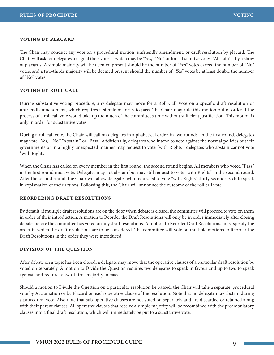#### **voting by placard**

The Chair may conduct any vote on a procedural motion, unfriendly amendment, or draft resolution by placard. The Chair will ask for delegates to signal their votes—which may be "Yes," "No," or for substantive votes, "Abstain"—by a show of placards. A simple majority will be deemed present should be the number of "Yes" votes exceed the number of "No" votes, and a two-thirds majority will be deemed present should the number of "Yes" votes be at least double the number of "No" votes.

## **voting by roll call**

During substantive voting procedure, any delegate may move for a Roll Call Vote on a specific draft resolution or unfriendly amendment, which requires a simple majority to pass. The Chair may rule this motion out of order if the process of a roll call vote would take up too much of the committee's time without sufficient justification. This motion is only in order for substantive votes.

During a roll call vote, the Chair will call on delegates in alphabetical order, in two rounds. In the first round, delegates may vote "Yes," "No," "Abstain," or "Pass." Additionally, delegates who intend to vote against the normal policies of their governments or in a highly unexpected manner may request to vote "with Rights"; delegates who abstain cannot vote "with Rights."

When the Chair has called on every member in the first round, the second round begins. All members who voted "Pass" in the first round must vote. Delegates may not abstain but may still request to vote "with Rights" in the second round. After the second round, the Chair will allow delegates who requested to vote "with Rights" thirty seconds each to speak in explanation of their actions. Following this, the Chair will announce the outcome of the roll call vote.

#### **reordering draft resolutions**

By default, if multiple draft resolutions are on the floor when debate is closed, the committee will proceed to vote on them in order of their introduction. A motion to Reorder the Draft Resolutions will only be in order immediately after closing debate, before the committee has voted on any draft resolutions. A motion to Reorder Draft Resolutions must specify the order in which the draft resolutions are to be considered. The committee will vote on multiple motions to Reorder the Draft Resolutions in the order they were introduced.

#### **division of the question**

After debate on a topic has been closed, a delegate may move that the operative clauses of a particular draft resolution be voted on separately. A motion to Divide the Question requires two delegates to speak in favour and up to two to speak against, and requires a two-thirds majority to pass.

Should a motion to Divide the Question on a particular resolution be passed, the Chair will take a separate, procedural vote by Acclamation or by Placard on each operative clause of the resolution. Note that no delegate may abstain during a procedural vote. Also note that sub-operative clauses are not voted on separately and are discarded or retained along with their parent clauses. All operative clauses that receive a simple majority will be recombined with the preambulatory clauses into a final draft resolution, which will immediately be put to a substantive vote.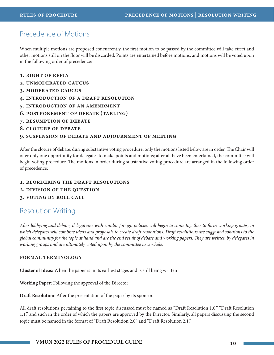# Precedence of Motions

When multiple motions are proposed concurrently, the first motion to be passed by the committee will take effect and other motions still on the floor will be discarded. Points are entertained before motions, and motions will be voted upon in the following order of precedence:

- **1. right of reply**
- **2. unmoderated caucus**
- **3. moderated caucus**
- **4. introduction of a draft resolution**
- **5. introduction of an amendment**
- **6. postponement of debate (tabling)**
- **7. resumption of debate**
- **8. cloture of debate**

#### **9. suspension of debate and adjournment of meeting**

After the cloture of debate, during substantive voting procedure, only the motions listed below are in order. The Chair will offer only one opportunity for delegates to make points and motions; after all have been entertained, the committee will begin voting procedure. The motions in order during substantive voting procedure are arranged in the following order of precedence:

#### **1. reordering the draft resolutions**

- **2. division of the question**
- **3. voting by roll call**

# Resolution Writing

*After lobbying and debate, delegations with similar foreign policies will begin to come together to form working groups, in which delegates will combine ideas and proposals to create draft resolutions. Draft resolutions are suggested solutions to the global community for the topic at hand and are the end result of debate and working papers. They are written by delegates in working groups and are ultimately voted upon by the committee as a whole.* 

#### **formal terminology**

**Cluster of Ideas**: When the paper is in its earliest stages and is still being written

**Working Paper**: Following the approval of the Director

**Draft Resolution**: After the presentation of the paper by its sponsors

All draft resolutions pertaining to the first topic discussed must be named as "Draft Resolution 1.0," "Draft Resolution 1.1," and such in the order of which the papers are approved by the Director. Similarly, all papers discussing the second topic must be named in the format of "Draft Resolution 2.0" and "Draft Resolution 2.1."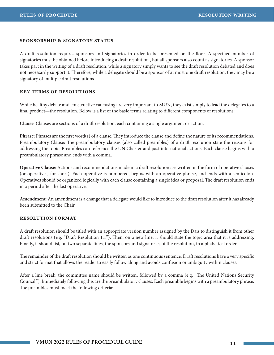#### **sponsorship & signatory status**

A draft resolution requires sponsors and signatories in order to be presented on the floor. A specified number of signatories must be obtained before introducing a draft resolution , but all sponsors also count as signatories. A sponsor takes part in the writing of a draft resolution, while a signatory simply wants to see the draft resolution debated and does not necessarily support it. Therefore, while a delegate should be a sponsor of at most one draft resolution, they may be a signatory of multiple draft resolutions.

#### **key terms of resolutions**

While healthy debate and constructive caucusing are very important to MUN, they exist simply to lead the delegates to a final product—the resolution. Below is a list of the basic terms relating to different components of resolutions:

**Clause**: Clauses are sections of a draft resolution, each containing a single argument or action.

**Phrase**: Phrases are the first word(s) of a clause. They introduce the clause and define the nature of its recommendations. Preambulatory Clause: The preambulatory clauses (also called preambles) of a draft resolution state the reasons for addressing the topic. Preambles can reference the UN Charter and past international actions. Each clause begins with a preambulatory phrase and ends with a comma.

**Operative Clause**: Actions and recommendations made in a draft resolution are written in the form of operative clauses (or operatives, for short). Each operative is numbered, begins with an operative phrase, and ends with a semicolon. Operatives should be organized logically with each clause containing a single idea or proposal. The draft resolution ends in a period after the last operative.

**Amendment**: An amendment is a change that a delegate would like to introduce to the draft resolution after it has already been submitted to the Chair.

## **resolution format**

A draft resolution should be titled with an appropriate version number assigned by the Dais to distinguish it from other draft resolutions (e.g. "Draft Resolution 1.1"). Then, on a new line, it should state the topic area that it is addressing. Finally, it should list, on two separate lines, the sponsors and signatories of the resolution, in alphabetical order.

The remainder of the draft resolution should be written as one continuous sentence. Draft resolutions have a very specific and strict format that allows the reader to easily follow along and avoids confusion or ambiguity within clauses.

After a line break, the committee name should be written, followed by a comma (e.g. "The United Nations Security Council,"). Immediately following this are the preambulatory clauses. Each preamble begins with a preambulatory phrase. The preambles must meet the following criteria: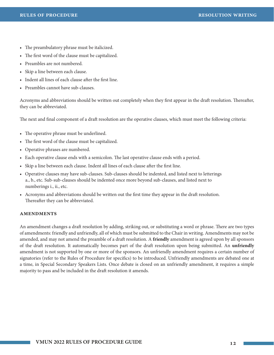- The preambulatory phrase must be italicized.
- The first word of the clause must be capitalized.
- Preambles are not numbered.
- Skip a line between each clause.
- Indent all lines of each clause after the first line.
- Preambles cannot have sub-clauses.

Acronyms and abbreviations should be written out completely when they first appear in the draft resolution. Thereafter, they can be abbreviated.

The next and final component of a draft resolution are the operative clauses, which must meet the following criteria:

- The operative phrase must be underlined.
- The first word of the clause must be capitalized.
- Operative phrases are numbered.
- Each operative clause ends with a semicolon. The last operative clause ends with a period.
- Skip a line between each clause. Indent all lines of each clause after the first line.
- Operative clauses may have sub-clauses. Sub-clauses should be indented, and listed next to letterings a., b., etc. Sub-sub-clauses should be indented once more beyond sub-clauses, and listed next to numberings i., ii., etc.
- Acronyms and abbreviations should be written out the first time they appear in the draft resolution. Thereafter they can be abbreviated.

# **amendments**

An amendment changes a draft resolution by adding, striking out, or substituting a word or phrase. There are two types of amendments: friendly and unfriendly, all of which must be submitted to the Chair in writing. Amendments may not be amended, and may not amend the preamble of a draft resolution. A **friendly** amendment is agreed upon by all sponsors of the draft resolution. It automatically becomes part of the draft resolution upon being submitted. An **unfriendly** amendment is not supported by one or more of the sponsors. An unfriendly amendment requires a certain number of signatories (refer to the Rules of Procedure for specifics) to be introduced. Unfriendly amendments are debated one at a time, in Special Secondary Speakers Lists. Once debate is closed on an unfriendly amendment, it requires a simple majority to pass and be included in the draft resolution it amends.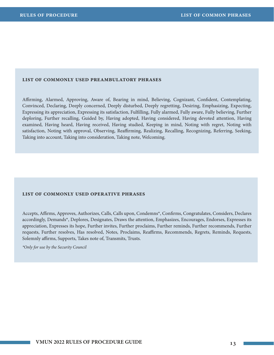# **list of commonly used preambulatory phrases**

Affirming, Alarmed, Approving, Aware of, Bearing in mind, Believing, Cognizant, Confident, Contemplating, Convinced, Declaring, Deeply concerned, Deeply disturbed, Deeply regretting, Desiring, Emphasizing, Expecting, Expressing its appreciation, Expressing its satisfaction, Fulfilling, Fully alarmed, Fully aware, Fully believing, Further deploring, Further recalling, Guided by, Having adopted, Having considered, Having devoted attention, Having examined, Having heard, Having received, Having studied, Keeping in mind, Noting with regret, Noting with satisfaction, Noting with approval, Observing, Reaffirming, Realizing, Recalling, Recognizing, Referring, Seeking, Taking into account, Taking into consideration, Taking note, Welcoming.

#### **list of commonly used operative phrases**

Accepts, Affirms, Approves, Authorizes, Calls, Calls upon, Condemns\*, Confirms, Congratulates, Considers, Declares accordingly, Demands\*, Deplores, Designates, Draws the attention, Emphasizes, Encourages, Endorses, Expresses its appreciation, Expresses its hope, Further invites, Further proclaims, Further reminds, Further recommends, Further requests, Further resolves, Has resolved, Notes, Proclaims, Reaffirms, Recommends, Regrets, Reminds, Requests, Solemnly affirms, Supports, Takes note of, Transmits, Trusts.

*\*Only for use by the Security Council*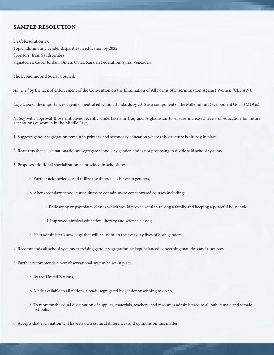# **sample resolution**

Draft Resolution 1.0 Topic: Eliminating gender disparities in education by 2022 Sponsors: Iran, Saudi Arabia Signatories: Cuba, Jordan, Oman, Qatar, Russian Federation, Syria, Venezuela

The Economic and Social Council,

*Alarmed* by the lack of enforcement of the Convention on the Elimination of All Forms of Discrimination Against Women (CEDAW),

*Cognizant* of the importance of gender-neutral education standards by 2015 as a component of the Millennium Development Goals (MDGs),

*Noting* with approval those initiatives recently undertaken in Iraq and Afghanistan to ensure increased levels of education for future generations of women in the Middle East,

- 1. Suggests gender segregation remain in primary and secondary education where this structure is already in place;
- 2. Reaffirms that select nations do not segregate schools by gender, and is not proposing to divide said school systems;
- 3. Proposes additional specialization be provided in schools to:
	- a. Further acknowledge and utilize the differences between genders,
	- b. Alter secondary school curriculums to contain more concentrated courses including:
		- i. Philosophy or psychiatry classes which would prove useful in raising a family and keeping a peaceful household,
		- ii. Improved physical education, literacy and science classes;
	- c. Help administer knowledge that will be useful in the everyday lives of both genders;
- 4. Recommends all school systems exercising gender segregation be kept balanced concerning materials and resources;
- 5. Further recommends a new observational system be set in place:
	- a. By the United Nations,
	- b. Made available to all nations already segregated by gender or wishing to do so,
	- c. To monitor the equal distribution of supplies, materials, teachers, and resources administered to all public male and female schools;

**VMUN 2022 RULES OF PROCEDURE GUIDE 14**

6. Accepts that each nation will have its own cultural differences and opinions on this matter.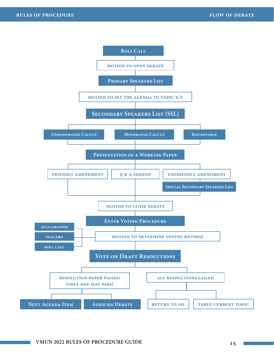